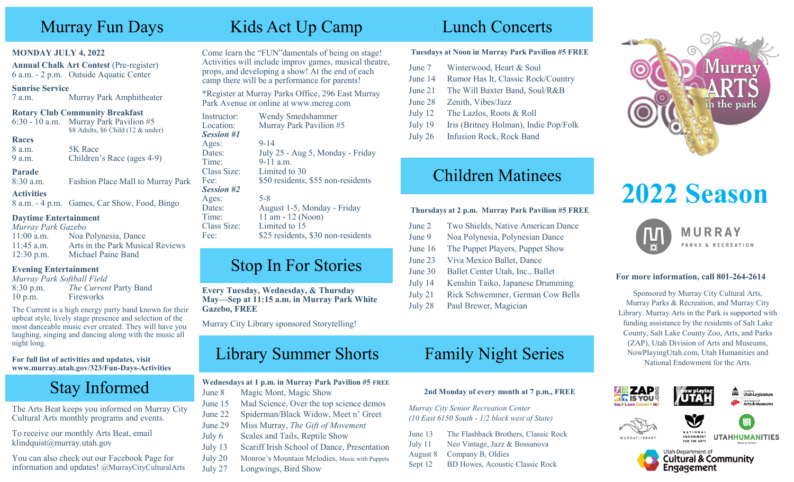## Murray Fun Days

#### **MONDAY JULY 4, 2022**

**Annual Chalk Art Contest** (Pre-register) 6 a.m. - 2 p.m. Outside Aquatic Center

#### **Sunrise Service**

7 a.m. Murray Park Amphitheater

#### **Rotary Club Community Breakfast**

6:30 - 10 a.m. Murray Park Pavilion #5 \$8 Adults, \$6 Child (12 & under)

#### **Races**

8 a.m. 5K Race 9 a.m. Children's Race (ages 4-9)

#### **Parade**

8:30 a.m. Fashion Place Mall to Murray Park

#### **Activities**

8 a.m. - 4 p.m. Games, Car Show, Food, Bingo

#### **Daytime Entertainment**

*Murray Park Gazebo* 11:00 a.m. Noa Polynesia, Dance 11:45 a.m. Arts in the Park Musical Reviews 12:30 p.m. Michael Paine Band

## **Evening Entertainment**

|           | Murray Park Softball Field |
|-----------|----------------------------|
| 8:30 p.m. | The Current Party Band     |
| 10 p.m.   | Fireworks                  |

The Current is a high energy party band known for their upbeat style, lively stage presence and selection of the most danceable music ever created. They will have you laughing, singing and dancing along with the music all night long.

**For full list of activities and updates, visit www.murray.utah.gov/323/Fun-Days-Activities**

## Stay Informed

The Arts Beat keeps you informed on Murray City Cultural Arts monthly programs and events.

To receive our monthly Arts Beat, email klindquist@murray.utah.gov

You can also check out our Facebook Page for information and updates! @MurrayCityCulturalArts

## Kids Act Up Camp Lunch Concerts

Come learn the "FUN"damentals of being on stage! Activities will include improv games, musical theatre, props, and developing a show! At the end of each camp there will be a performance for parents!

\*Register at Murray Parks Office, 296 East Murray Park Avenue or online at www.mcreg.com

#### Instructor: Wendy Smedshammer Location: Murray Park Pavilion #5 *Session #1* Ages: 9-14 Dates: July 25 - Aug 5, Monday - Friday Time: 9-11 a.m. Class Size: Limited to 30 Fee: \$50 residents, \$55 non-residents *Session #2* Ages: 5-8 Dates: August 1-5, Monday - Friday Time: 11 am - 12 (Noon) Class Size: Limited to 15 Fee: \$25 residents, \$30 non-residents

## Stop In For Stories

**Every Tuesday, Wednesday, & Thursday May—Sep at 11:15 a.m. in Murray Park White Gazebo, FREE**

Murray City Library sponsored Storytelling!

## Library Summer Shorts

## **Wednesdays at 1 p.m. in Murray Park Pavilion #5 FREE**

- June 8 Magic Mont, Magic Show
- June 15 Mad Science, Over the top science demos
- June 22 Spiderman/Black Widow, Meet n' Greet
- June 29 Miss Murray, *The Gift of Movement*
- July 6 Scales and Tails, Reptile Show
- July 13 Scariff Irish School of Dance, Presentation
- July 20 Monroe's Mountain Melodies, Music with Puppets
- July 27 Longwings, Bird Show

## **Tuesdays at Noon in Murray Park Pavilion #5 FREE**

- June 7 Winterwood, Heart & Soul
- June 14 Rumor Has It, Classic Rock/Country
- June 21 The Will Baxter Band, Soul/R&B
- June 28 Zenith, Vibes/Jazz
- July 12 The Lazlos, Roots & Roll
- July 19 Iris (Britney Holman), Indie Pop/Folk
- July 26 Infusion Rock, Rock Band

## Children Matinees

## **Thursdays at 2 p.m. Murray Park Pavilion #5 FREE**

- June 2 Two Shields, Native American Dance
- June 9 Noa Polynesia, Polynesian Dance
- June 16 The Puppet Players, Puppet Show
- June 23 Viva Mexico Ballet, Dance
- June 30 Ballet Center Utah, Inc., Ballet
- July 14 Kenshin Taiko, Japanese Drumming
- July 21 Rick Schwemmer, German Cow Bells
- July 28 Paul Brewer, Magician

## Family Night Series

## **2nd Monday of every month at 7 p.m., FREE**

*Murray City Senior Recreation Center (10 East 6150 South - 1/2 block west of State)*

- June 13 The Flashback Brothers, Classic Rock July 11 Neo Vintage, Jazz & Bossanova August 8 Company B, Oldies
- Sept 12 BD Howes, Acoustic Classic Rock



# **2022 Season**



## **For more information, call 801-264-2614**

Sponsored by Murray City Cultural Arts, Murray Parks & Recreation, and Murray City Library. Murray Arts in the Park is supported with funding assistance by the residents of Salt Lake County, Salt Lake County Zoo, Arts, and Parks (ZAP), Utah Division of Arts and Museums, NowPlayingUtah.com, Utah Humanities and National Endowment for the Arts.



MURRAYLIBRARY